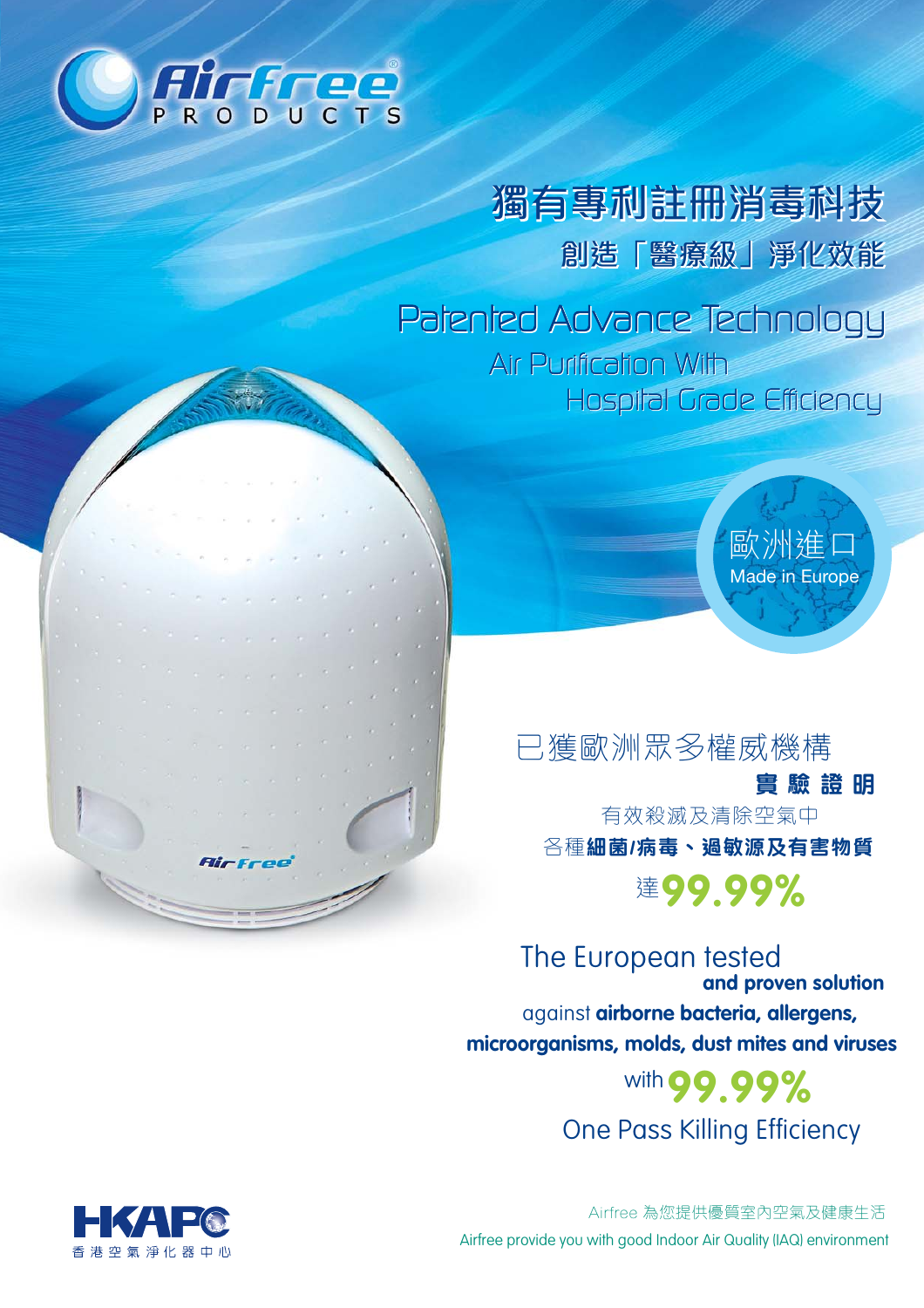

獨有專利註冊消毒科技 創造「醫療級」淨化效能

Patented Advance Technology Air Purification With Hospital Grade Efficiency

> 歐洲進 **Made in Europe**

已獲歐洲眾多權威機構 書 驗 誇 明 有效殺滅及清除空氣中 各種細菌/病毒、過敏源及有害物質 達99.99%

The European tested and proven solution against airborne bacteria, allergens, microorganisms, molds, dust mites and viruses

with 99.99% **One Pass Killing Efficiency** 

Airfree 為您提供優質室內空氣及健康生活 Airfree provide you with good Indoor Air Quality (IAQ) environment

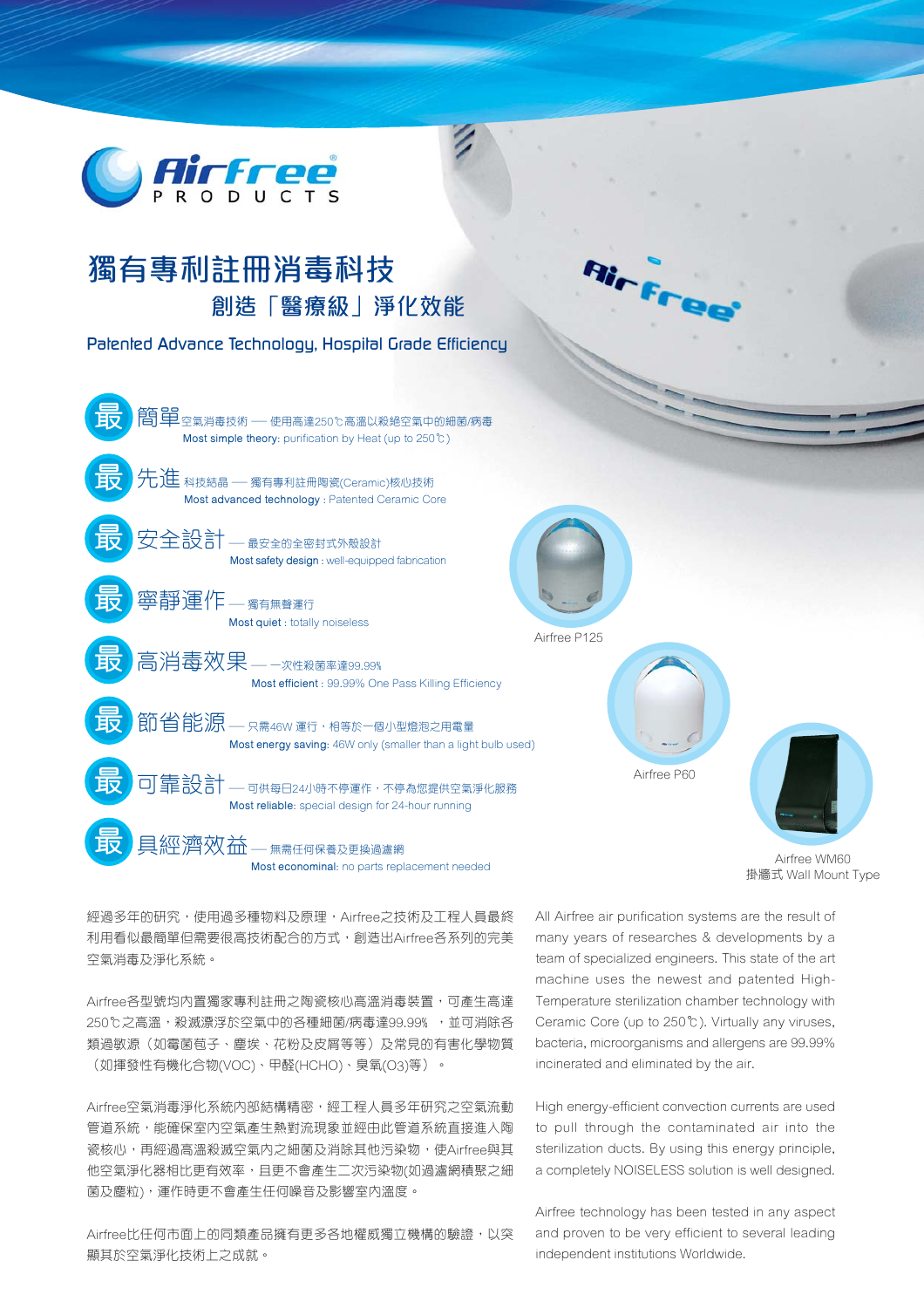

## 獨有專利註冊消毒科技 創浩「醫療級」淨化效能

Palented Advance Technology, Hospital Grade Efficiency



掛牆式 Wall Mount Type

經過多年的研究,使用過多種物料及原理,Airfree之技術及工程人員最終 利用看似最簡單但需要很高技術配合的方式,創造出Airfree各系列的完美 空氣消毒及淨化系統。

Airfree各型號均內置獨家專利註冊之陶瓷核心高溫消毒裝置,可產生高達 250℃之高溫,殺滅漂浮於空氣中的各種細菌/病毒達99.99%, 並可消除各 類過敏源(如霉菌苞子、塵埃、花粉及皮屑等等)及常見的有害化學物質 (如揮發性有機化合物(VOC)、甲醛(HCHO)、臭氧(O3)等)。

Airfree空氣消毒淨化系統內部結構精密,經工程人員多年研究之空氣流動 管道系統,能確保室內空氣產生熱對流現象並經由此管道系統直接進入陶 瓷核心,再經過高溫殺滅空氣內之細菌及消除其他污染物,使Airfree與其 他空氣淨化器相比更有效率,且更不會產生二次污染物(如過瀘網積聚之細 菌及塵粒),運作時更不會產生任何噪音及影響室內溫度。

Airfree比任何市面上的同類產品擁有更多各地權威獨立機構的驗證,以突 顯其於空氣淨化技術上之成就。

All Airfree air purification systems are the result of many years of researches & developments by a team of specialized engineers. This state of the art machine uses the newest and patented High-Temperature sterilization chamber technology with Ceramic Core (up to 250°C). Virtually any viruses, bacteria, microorganisms and allergens are 99.99% incinerated and eliminated by the air.

High energy-efficient convection currents are used to pull through the contaminated air into the sterilization ducts. By using this energy principle. a completely NOISELESS solution is well designed.

Airfree technology has been tested in any aspect and proven to be very efficient to several leading independent institutions Worldwide.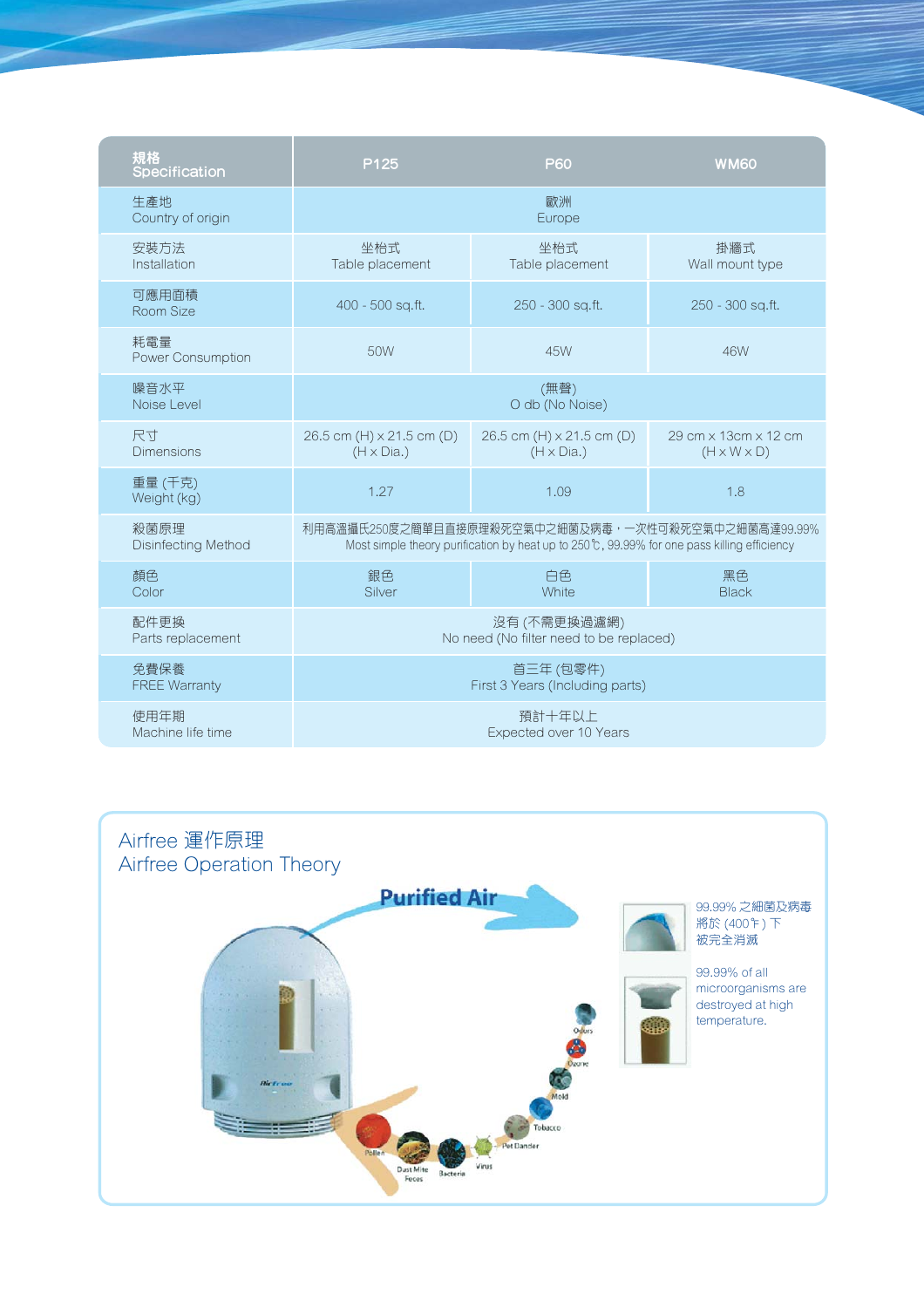| 規格<br>Specification        | P125                                                                                        | <b>P60</b>                | <b>WM60</b>             |
|----------------------------|---------------------------------------------------------------------------------------------|---------------------------|-------------------------|
| 生產地<br>Country of origin   |                                                                                             | 歐洲<br>Europe              |                         |
| 安裝方法                       | 坐枱式                                                                                         | 坐枱式                       | 掛牆式                     |
| Installation               | Table placement                                                                             | Table placement           | Wall mount type         |
| 可應用面積<br>Room Size         | 400 - 500 sq.ft.                                                                            | 250 - 300 sq.ft.          | 250 - 300 sq.ft.        |
| 耗雷量<br>Power Consumption   | 50W                                                                                         | 45W                       | 46W                     |
| 噪音水平                       | (無聲)                                                                                        |                           |                         |
| Noise Level                | O db (No Noise)                                                                             |                           |                         |
| 尺寸                         | 26.5 cm (H) x 21.5 cm (D)                                                                   | 26.5 cm (H) x 21.5 cm (D) | 29 cm x 13 cm x 12 cm   |
| <b>Dimensions</b>          | $(H \times Dia.)$                                                                           | $(H \times Dia.)$         | $(H \times W \times D)$ |
| 重量 (千克)<br>Weight (kg)     | 1.27                                                                                        | 1.09                      | 1.8                     |
| 殺菌原理                       | 利用高溫攝氏250度之簡單且直接原理殺死空氣中之細菌及病毒,一次性可殺死空氣中之細菌高達99.99%                                          |                           |                         |
| <b>Disinfecting Method</b> | Most simple theory purification by heat up to 250°C, 99.99% for one pass killing efficiency |                           |                         |
| 顏色                         | 銀色                                                                                          | 白色                        | 黑色                      |
| Color                      | Silver                                                                                      | White                     | <b>Black</b>            |
| 配件更换                       | 沒有 (不需更換過瀘網)                                                                                |                           |                         |
| Parts replacement          | No need (No filter need to be replaced)                                                     |                           |                         |
| 免費保養                       | 首三年 (包零件)                                                                                   |                           |                         |
| <b>FREE Warranty</b>       | First 3 Years (Including parts)                                                             |                           |                         |
| 使用年期                       | 預計十年以上                                                                                      |                           |                         |
| Machine life time          | Expected over 10 Years                                                                      |                           |                         |